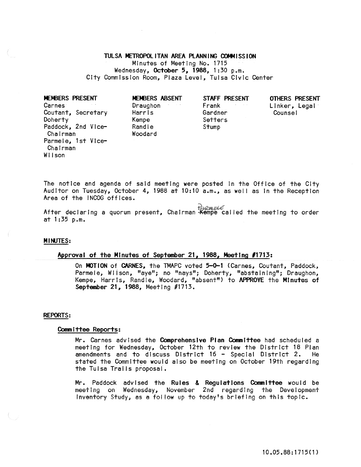# TULSA METROPOliTAN AREA PlANNING COMMISSION

Minutes of Meeting No. 1715 Wednesday, October 5,1988, 1:30 p.m. City Commission Room, Plaza Level, Tulsa Civic Center

| MEMBERS PRESENT                | MEMBERS ABSENT                | STAFF PRESENT           | OTHERS PRESENT |
|--------------------------------|-------------------------------|-------------------------|----------------|
| Carnes                         | <b>Contractor</b><br>Draughon | Frank<br>Arrest Council | Linker, Legal  |
| Coutant, Secretary             | Harris                        | Gardner                 | Counsel        |
| Doherty                        | Kempe                         | Setters                 |                |
| Paddock, 2nd Vice-<br>Chairman | Randle<br>Woodard             | Stump                   |                |
| Parmele, 1st Vice-<br>Chairman |                               |                         |                |

The notice and agenda of said meeting were posted In the Office of the City Auditor on Tuesday, October 4, 1988 at 10:10 a.m., as well as in the Reception Area of the INCOG offices.

er and the Magazine resent, Chairman  $\frac{1}{R}$  and  $\frac{1}{R}$  and the meeting to order at 1:35 p.m.

## **MINUTES:**

Wilson

# Approval of the Minutes of September 21, 1988, Meeting *11713:*

On MOTION of CARNES, the TMAPC voted 5-0-1 (Carnes, Coutant, Paddock, Parmele, Wilson, "aye"; no "nays"; Doherty, "abstaining"; Draughon, Kempe, Harris, Randle, Woodard, "absent") to APPROVE the Minutes of September 21, 1988, Meeting #1713.

#### REPORTS:

#### Committee Reports:

Mr. Carnes advised the Comprehensive Plan Committee had scheduled a meeting for Wednesday, October 12th to review the District 18 Plan<br>amendments and to discuss District 16 - Special District 2. He amendments and to discuss District 16 - Special District 2. stated the Committee would also be meeting on October 19th regarding the Tulsa Trails proposal.

Mr. Paddock advised the <mark>Rules & Regulations Committee</mark> would be meeting on Wednesday, November 2nd regarding the Development Inventory Study; as a fol low up to today's briefing on this topic.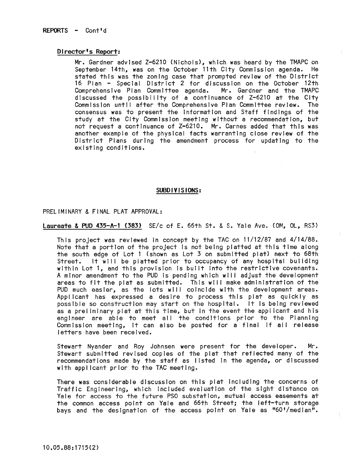## Director's Report:

Mr. Gardner advised Z-6210 (Nichols), which was heard by the TMAPC on September 14th, was on the October 11th City Commission agenda. He stated this was the zoning case that prompted review of the District 16 Plan - Special District 2 for discussion on the October 12th<br>Comprehensive Plan Committee agenda. Mr. Gardner and the TMAPC Comprehensive Plan Committee agenda. discussed the possibility of a continuance of Z-6210 at the City Commission until after the Comprehensive Plan Committee review. The consensus was to present the Information and Staff findings of the study at the City Commission meeting without a recommendation, but not request a continuance of Z-6210. Mr. Carnes added that this was another example of the physical facts warranting close review of the District Plans during the amendment process for updating to the existing conditions.

#### SUBDIVISIONS:

## PRELIMINARY & FINAL PLAT APPROVAL:

**Laureate & PUD 435-A-1 (383)** SE/c of E. 66th St. & S. Yale Ave. (OM, OL, RS3)

This project was reviewed In concept by the TAC on 11/12/87 and 4/14/88. Note that a portion of the project Is not being platted at this time along the south edge of Lot 1 (shown as Lot 3 on submitted plat) next to 68th Street. It will be platted prior to occupancy of any hospital building within Lot 1, and this provision Is built Into the restrictive covenants. A mInor amendment to the PUD is pending which wll I adjust the development areas to fit the plat as submitted. This will make administration of the PUD much easier, as the lots will coincide with the development areas. Applicant has expressed a desire to process this plat as quickly as possible so construction may start on the hospital. It Is being reviewed as a preliminary plat at this time, but in the event the applicant and his engineer are able to meet all the conditions prior to the Planning Commission meeting, it can also be posted for a final if all release letters have been received.

Stewart Nyander and Roy Johnsen were present for the developer. Mr. Stewart submitted revised copies of the plat that reflected many of the recommendations made by the staff as listed In the agenda, or discussed with applicant prior to the TAC meeting.

There was considerable discussion on this plat Including the concerns of Traffic Engineering, which included evaluation of the sight distance on Yale for access to the future PSO substation, mutual access easements at the common access point on Yale and 66th Street; the left-turn storage bays and the designation of the access point on Yale as "60'/medlan".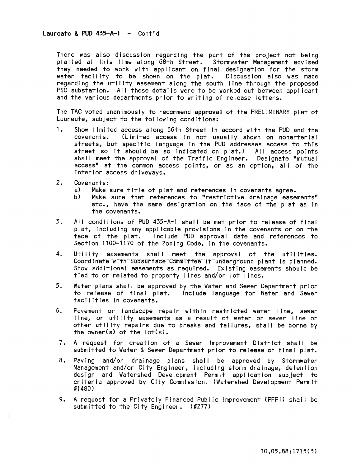There was also discussion regarding the part of the project not being platted at this time along 68th Street. Stormwater Management advised they needed to work with applicant on final designation for the storm water facility to be shown on the plat. Discussion also was made regardIng the utility easement along the south line through the proposed PSO substation. All these details were to be worked out between applicant and the various departments prior to writing of release letters.

The TAC voted unanimously to recommend **approval** of the PRELIMINARY plat of Laureate, subject to the fol lowing conditions:

- 1. Show limited access along 66th Street In accord with the PUD and the **covenants. (Limited access in not usual Jy shown on nonarterial**  streets, but specific language In the PUD addresses access to this street so it should be so indicated on plat.) All access points shall meet the approval of the Traffic Engineer. Designate "mutual access" at the common access points, or as an option, all of the interior access driveways.
- 2. Covenants:
	- a) Make sure title of plat and references in covenants agree.<br>b) Make sure that references to "restrictive drainage ease
	- Make sure that references to "restrictive drainage easements" etc., have the same designation on the face of the plat as In the covenants.
- 3. All conditions of PUD 435-A-1 shall be met prior to release of final plat, including any applicable provisions in the covenants or on the face of the plat. Include PUD approval date and references to Section 1100-1170 of the Zoning Code, In the covenants.
- 4. Utility easements shall meet the approval of the utilities. Coordinate with Subsurface Committee if underground plant is planned. Show additional easements as required. Existing easements should be tied to or related to property lines and/or lot lines.
- 5. Water plans shal I be approved by the Water and Sewer Department prior to release of final plat. Include language for Water and Sewer facilities In covenants.
- 6. Pavement or landscape repair within restricted water line, sewer line, or utility easements as a result of water or sewer line or other utility repairs due to breaks and failures, shall be borne by the owner(s) of the  $\left| \text{ot}(s) \right|$ .
- 7. A request for creation of a Sewer Improvement District shall be submitted to Water & Sewer Department prior to release of final plat.
- 8. Paving and/or drainage plans shall be approved by Stormwater Management and/or City Engineer, including storm drainage, detention design and Watershed Development Permit application subject to criteria approved by City Commission. (Watershed Development Permit 61480)
- 9. A request for a Privately Financed Public improvement (PFPI) shall be submitted to the City Engineer. (#277)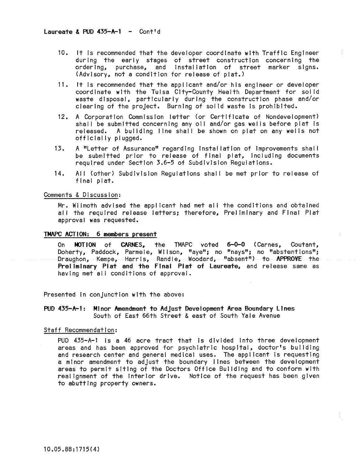- 10. It is recommended that the developer coordinate with Traffic Engineer during the early stages of street construction concerning the ordering, purchase, and installation of street marker signs. (Advisory, not a condition for release of plat.)
- 11. It is recommended that the applicant and/or his engineer or developer coordinate with the Tulsa City-County Health Department for solid waste disposal, particularly during the construction phase and/or clearing of the project. Burning of solid waste Is prohibited.
- 12. A Corporation Commission letter (or Certificate of Nondevelopment) shall be submitted concerning any oil and/or gas wells before plat is released. A building line shall be shown on plat on any wells not officially plugged.
- 13. A "Letter of Assurance" regarding installation of improvements shall be submitted prior to release of final plat, including documents required under Section 3.6-5 of Subdivision Regulations.
- 14. All (other) Subdivision Regulations shall be met prior to release of final plat.

## Comments & Discussion:

Mr. Wilmoth advised the applicant had met all the conditions and obtained all the required release letters; therefore, Prel imlnary and Final Plat approval was requested.

# TMAPC ACTION: 6 members present

On MOTION of CARNES, the TMAPC voted 6-0-0 (Carnes, Coutant, Doherty, Paddock, Parmele, Wilson, "aye"; no "nays"; no "abstentions"; Draughon, Kempe, Harris, Randle, Woodard, "absent") to **APPROVE** the Preliminary Plat and the Final Plat of Laureate, and release same as having met all conditions of approval.

Presented In conjunction with the above:

PUD 435-A-l: Minor Amendment to Adjust Development Area Boundary LInes South of East 66th Street & east of South Yale Avenue

# Staff Recommendation:

PUD 435-A-1 is a 46 acre tract that is divided into three development areas and has been approved for psychiatric hospital, doctor's building and research center and general medical uses. The applicant Is requesting a minor amendment to adjust the boundary lines between the development areas to permit siting of the Doctors Office Building and to conform with real ignment of the Interior drive. Notice of the request has been given to abutting property owners.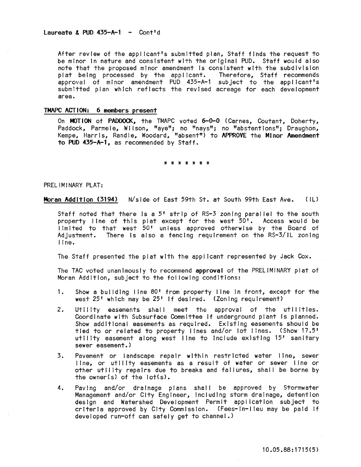After review of the applicant's submitted plan, Staff finds the request to be minor in nature and consistent with the original PUD. Staff would also note that the proposed minor amendment is consistent with the subdivision plat being processed by the applicant. Therefore, Staff recommends approval of minor amendment PUD 435-A-1 subject to the applicant's submitted plan which reflects the revised acreage for each development area.

# TMAPC ACTION: 6 members present

On MOTION of PADDOCK, the TMAPC voted 6-0-0 (Carnes, Coutant, Doherty, Paddock, Parmele, Wilson, "aye"; no "nays"; no "abstentions"; Draughon, Kempe, Harris, Randle, Woodard, "absent") to APPROVE the Minor Amendment to PUD 435-A-1, as recommended by Staff.

\* \* \* \* \* \* \*

PREL IMINARY PLAT:

Moran Addition (3194) N/side of East 59th St. at South 99th East Ave. (IL)

Staff noted that there is a 5' strip of RS-3 zoning parallel to the south property line of this plat except for the west 50'. Access would be limited to that west 50° unless approved otherwise by the Board of Adjustment. There is also a fencing requirement on the RS-3/IL zoning line.

The Staff presented the plat with the applicant represented by Jack Cox.

The TAC voted unanimously to recommend approval of the PRELIMINARY plat of Moran Addition, subject to the following conditions:

- Show a building line 80' from property line in front, except for the 1. west 25' which may be 25' if desired. (Zoning requirement)
- Utility easements shall meet the approval of the utilities.  $2.$ Coordinate with Subsurface Committee if underground plant is planned. Show additional easements as required. Existing easements should be tied to or related to property lines and/or lot lines. (Show 17.5' utility easement along west line to include existing 15' sanitary sewer easement.)
- 3. Pavement or landscape repair within restricted water line, sewer line, or utility easements as a result of water or sewer line or other utility repairs due to breaks and failures, shall be borne by the owner(s) of the lot(s).
- Paving and/or drainage plans shall be approved by Stormwater 4. Management and/or City Engineer, including storm drainage, detention design and Watershed Development Permit application subject to criteria approved by City Commission. (Fees-in-lieu may be paid if developed run-off can safely get to channel.)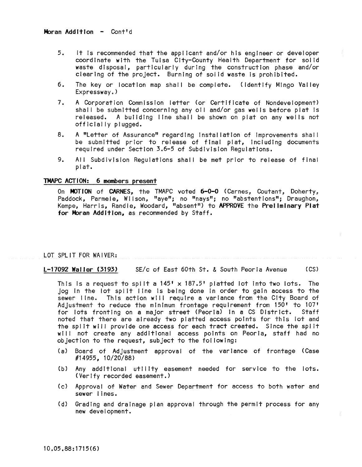- 5. It Is recommended that the applicant and/or his engineer or developer coordinate with the Tulsa City-County Health Department for solid waste disposal, particularly during the construction phase and/or clearing of the project. Burning of solid waste Is prohibited.
- 6. The key or location map shall be complete. (Identify Mingo Valley Expressway.)
- 7. A Corporation Commission letter (or Certificate of Nondevelopment) shall be submitted concerning any oil and/or gas wells before plat is released. A building line shall be shown on plat on any wells not officially plugged.
- 8. A "Letter of Assurance" regarding Installation of Improvements shal I be submitted prior to release of final plat, including documents required under Section 3.6-5 of Subdivision Regulations.
- 9. All Subdivision Regulations shall be met prior to release of final plat.

# TMAPC ACTION: 6 members present

On MOTION of CARNES, the TMAPC voted 6-0-0 (Carnes, Coutant, Doherty, Paddock, Parmele, Wilson, "aye"; no "nays"; no "abstentions"; Draughon, Kempe, Harris, Randle, Woodard, "absent") to APPROVE the PrelimInary Plat for Moran Addition, as recommended by Staff.

# LOT SPLIT FOR WAIVER:

# L-17092 Waller (3193) SE/c of East 60th St. & South Peoria Avenue (CS)

This is a request to split a  $145' \times 187.5'$  platted lot into two lots. The jog In the lot spilt line is being done in order to gain access to the sewer line. This action will require a variance from the City Board of Adjustment to reduce the minimum frontage requirement from 150' to 107' for lots fronting on a major street (Peoria) in a CS District. Staff noted that there are already two platted access points for this lot and the split will provide one access for each tract created. Since the split will not create any additional access points on Peoria, staff had no objection to the request, subject to the fol lowing:

- (a) Board of Adjustment approval of the variance of frontage (Case #14955, 10/20/88)
- (b) Any additional utility easement needed for service to the lots. (Verify recorded easement.)
- (c) Approval of Water and Sewer Department for access to both water and sewer lines.
- Cd) Grading and drainage plan approval through the permit process for any new development.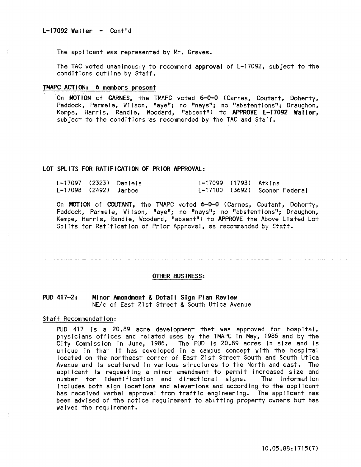The applicant was represented by Mr. Graves.

The TAC voted unanimously to recommend approval of L-17092, subject to the conditions outline by Staff.

## TMAPC ACTION: 6 members present

On MOTION of CARNES, the TMAPC voted 6-0-0 (Carnes, Coutant, Doherty, Paddock, Parmele, Wilson, "aye"; no "nays"; no "abstentions"; Draughon, Kempe, Harris, Randle, Woodard, "absent") to APPROVE L-17092 Waller, subject to the conditions as recommended by the TAC and Staff.

# LOT SPLITS FOR RATIFICATION OF PRIOR APPROVAL:

|                       | L-17097 (2323) Daniels | L-17099 (1793) Atkins |                               |
|-----------------------|------------------------|-----------------------|-------------------------------|
| L-17098 (2492) Jarboe |                        |                       | L-17100 (3692) Sooner Federal |

On MOTION of COUTANT, the TMAPC voted 6-0-0 (Carnes, Coutant, Doherty, Paddock, Parmele, Wilson, "aye"; no "nays"; no "abstentions"; Draughon, Kempe, Harris, Randle, Woodard, "absent") to APPROVE the Above Listed Lot Splits for Ratification of Prior Approval, as recommended by Staff.

#### OTHER BUSINESS:

#### $PUD$  417-2: Minor Amendment & Detail Sign Plan Review NE/c of East 21st Street & South Utica Avenue

Staff Recommendation:

PUD 417 is a 20.89 acre development that was approved for hospital, physicians offices and related uses by the TMAPC in May, 1986 and by the City Commission in June, 1986. The PUD is 20.89 acres in size and is unique in that it has developed in a campus concept with the hospital located on the northeast corner of East 21st Street South and South Utica Avenue and is scattered in various structures to the North and east. The applicant is requesting a minor amendment to permit increased size and number for identification and directional signs. The information includes both sign locations and elevations and according to the applicant has received verbal approval from traffic engineering. The applicant has been advised of the notice requirement to abutting property owners but has waived the requirement.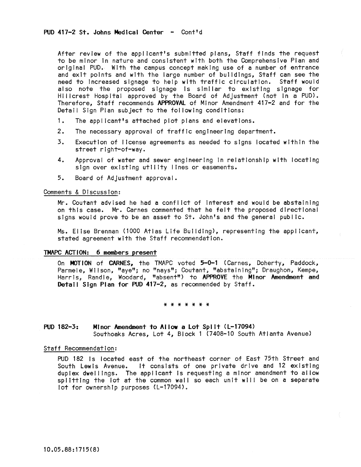After review of the applicant's submitted plans, Staff finds the request to be minor in nature and consistent with both the Comprehensive Plan and original PUD. With the campus concept making use of a number of entrance and exit points and with the large number of buildings, Staff can see the need to increased slgnage to help with traffic circulation. Staff would also note the proposed slgnage Is similar to existing slgnage for Hillcrest Hospital approved by the Board of Adjustment (not In a PUD). Therefore, Staff recommends APPROVAl of Minor Amendment 417-2 and for the Detail Sign Plan subject to the fol lowing conditions:

- 1. The applicant's attached plot plans and elevations.
- 2. The necessary approval of traffic engineering department.
- 3. Execution of license agreements as needed to signs located within the street right-of-way.
- 4. Approval of water and sewer engineering In relationship with locating sign over existing utility lines or easements.
- 5. Board of Adjustment approval.

# Comments & Discussion:

Mr. Coutant advised he had a conflict of Interest and would be abstaining on this case. Mr. Carnes commented that he felt the proposed directional signs would prove to be an asset to St. John's and the general public.

Ms. Elise Brennan (1000 Atlas Life Building), representing the applicant, stated agreement with the Staff recommendation.

## TMAPC ACTION: 6 members present

On MOTION of CARNES, the TMAPC voted 5-0-1 (Carnes, Doherty, Paddock, Parmele, Wilson, "aye"; no "nays"; Coutant, "abstaining"; Draughon, Kempe, Harris, Randle, Woodard, "absent") to APPROVE the Minor Amendment and Detail Sign Plan for PUD 417-2, as recommended by Staff.

\* \* \* \* \* \* \*

# PUD 182-3: Minor Amendment to Allow a Lot Split (L-17094) Southoaks Acres, Lot 4, Block 1 (7408-10 South Atlanta Avenue)

### Staff Recommendation:

PUD 182 is located east of the northeast corner of East 75th Street and South Lewis Avenue. It consists of one private drive and 12 existing duplex dwel lings. The applicant Is requesting a minor amendment to al low splitting the lot at the common wall so each unit will be on a separate lot for ownership purposes (L-17094).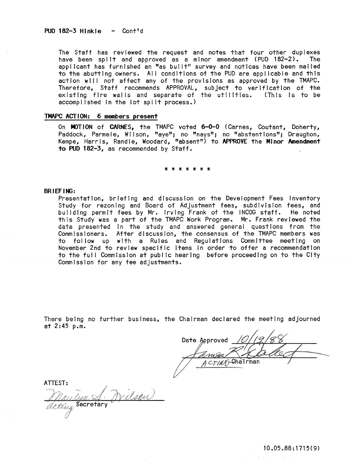The Staff has reviewed the request and notes that four other duplexes<br>have been split and approved as a minor amendment (PUD 182-2). The have been split and approved as a minor amendment (PUD 182-2). applicant has furnished an "as built" survey and notices have been mailed to the abutting owners. All conditions of the PUD are applicable and this action will not affect any of the provisions as approved by the TMAPC. Therefore, Staff recommends APPROVAL, subject to verification of the existing fire walls and separate of the utilities. (This is to be accomplished In the lot spl It process.)

### TMAPC ACTION: 6 members present

On MOTION of CARNES, the TMAPC voted 6-0-0 (Carnes, Coutant, Doherty, Paddock; Parmele; Wilson; "aye"; no "nays", no "abstentions"; Draughon, Kempe, Harris, Randle, Woodard, "absent") to APPROVE the Minor Amendment to PUD 182-3, as recommended by Staff.

\* \* \* \* \* \* \*

### BRIEFING:

Presentation, briefing and discussion on the Development Fees Inventory Study for rezoning and Board of Adjustment fees, subdivision fees, and building permit fees by Mr. Irving Frank of the INCOG staff. He noted this Study was a part of the TMAPC Work Program. Mr. Frank reviewed the data presented in the study and answered general questions from the CommIssioners. After discussion, the consensus of the TMAPC members was to follow up with a Rules and Regulations Committee meeting on November 2nd to review specific Items in order to offer a recommendation to the full Commission at public hearing before proceeding on to the City CommIssion for any fee adjustments.

There being no further business, the Chairman declared the meeting adjourned at 2:45 p.m.

Date Approved

ATIEST: Drilson <u>Mandyn S</u>.<br>acting Secretary